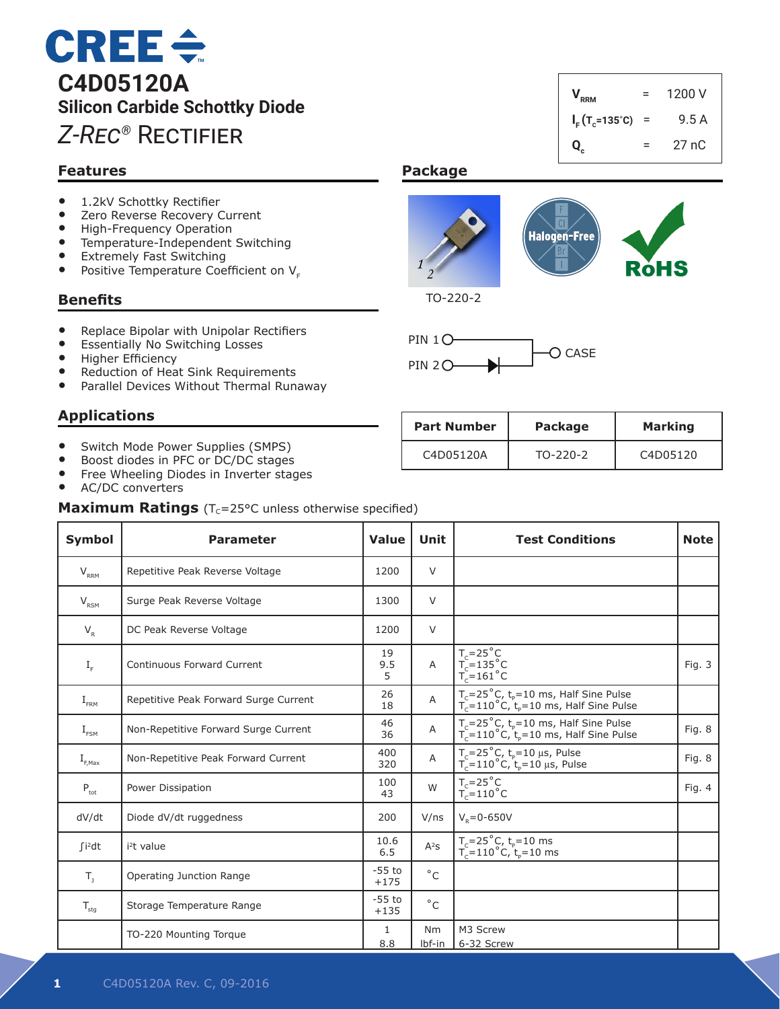# $CREE \div$ **C4D05120A Silicon Carbide Schottky Diode** *Z-Rec®* Rectifier

# **Features**

- 1.2kV Schottky Rectifier<br>• 7ero Reverse Recovery (
- Zero Reverse Recovery Current<br>• High-Frequency Operation
- High-Frequency Operation
- Temperature-Independent Switching<br>• Extremely Fast Switching
- Extremely Fast Switching<br>• Positive Temperature Coe
- Positive Temperature Coefficient on  $V_{E}$

#### **Benefits**

- Replace Bipolar with Unipolar Rectifiers
- **Essentially No Switching Losses**
- • Higher Efficiency
- Reduction of Heat Sink Requirements<br>• Parallel Devices Without Thermal Runa
- Parallel Devices Without Thermal Runaway

## **Applications**

- Switch Mode Power Supplies (SMPS)
- Boost diodes in PFC or DC/DC stages
- Free Wheeling Diodes in Inverter stages
- AC/DC converters

**Maximum Ratings** (T<sub>C</sub>=25°C unless otherwise specified)

| <b>Symbol</b>               | <b>Parameter</b>                      | <b>Value</b>       | Unit                     | <b>Test Conditions</b>                                                                                                | <b>Note</b> |
|-----------------------------|---------------------------------------|--------------------|--------------------------|-----------------------------------------------------------------------------------------------------------------------|-------------|
| $V_{RRM}$                   | Repetitive Peak Reverse Voltage       | 1200               | V                        |                                                                                                                       |             |
| $V_{RSM}$                   | Surge Peak Reverse Voltage            | 1300               | V                        |                                                                                                                       |             |
| $V_R$                       | DC Peak Reverse Voltage               | 1200               | V                        |                                                                                                                       |             |
| $I_F$                       | <b>Continuous Forward Current</b>     | 19<br>9.5<br>5     | $\overline{A}$           | $T_c=25^\circ C$<br>$T_c=135^\circ C$<br>$T_c=161^\circ C$                                                            | Fig. 3      |
| $I_{\text{FRM}}$            | Repetitive Peak Forward Surge Current | 26<br>18           | A                        | $T_c = 25^{\circ}$ C, t <sub>p</sub> =10 ms, Half Sine Pulse<br>$T_c = 110^{\circ}$ C, $t_p = 10$ ms, Half Sine Pulse |             |
| $I_{FSM}$                   | Non-Repetitive Forward Surge Current  | 46<br>36           | Α                        | $T_c = 25^{\circ}$ C, t <sub>p</sub> =10 ms, Half Sine Pulse<br>$T_c = 110^{\circ}$ C, $t_p = 10$ ms, Half Sine Pulse | Fig. 8      |
| $I_{F, \text{Max}}$         | Non-Repetitive Peak Forward Current   | 400<br>320         | A                        | $T_c = 25^{\circ}C$ , $t_p = 10 \mu s$ , Pulse<br>$T_c = 110^{\circ}C$ , $t_p = 10 \mu s$ , Pulse                     | Fig. 8      |
| $P_{\rm tot}$               | Power Dissipation                     | 100<br>43          | W                        | $T_c = 25^\circ \text{C}$<br>$T_c = 110^\circ \text{C}$                                                               | Fig. 4      |
| dV/dt                       | Diode dV/dt ruggedness                | 200                | V/ns                     | $V_p = 0 - 650V$                                                                                                      |             |
| $\int$ i <sup>2</sup> dt    | $i2t$ value                           | 10.6<br>6.5        | $\mathsf{A}^2\mathsf{S}$ | $T_c = 25^{\circ}$ C, t <sub>p</sub> =10 ms<br>T <sub>c</sub> =110°C, t <sub>p</sub> =10 ms                           |             |
| $T_{1}$                     | Operating Junction Range              | $-55$ to<br>$+175$ | $^{\circ}$ C             |                                                                                                                       |             |
| $\mathsf{T}_{\mathsf{stg}}$ | Storage Temperature Range             | $-55$ to<br>$+135$ | $^{\circ}$ C             |                                                                                                                       |             |
|                             | TO-220 Mounting Torque                | 1                  | Nm                       | M3 Screw                                                                                                              |             |

8.8 lbf-in 6-32 Screw

# $V_{RRM}$  = 1200 V  $I_F$ (T<sub>c</sub>=135°C) = 9.5 A **Q<sub>c</sub>** =  $27 nC$

## **Package**



TO-220-2



| <b>Part Number</b> | Package    | <b>Marking</b> |
|--------------------|------------|----------------|
| C4D05120A          | $TO-220-2$ | C4D05120       |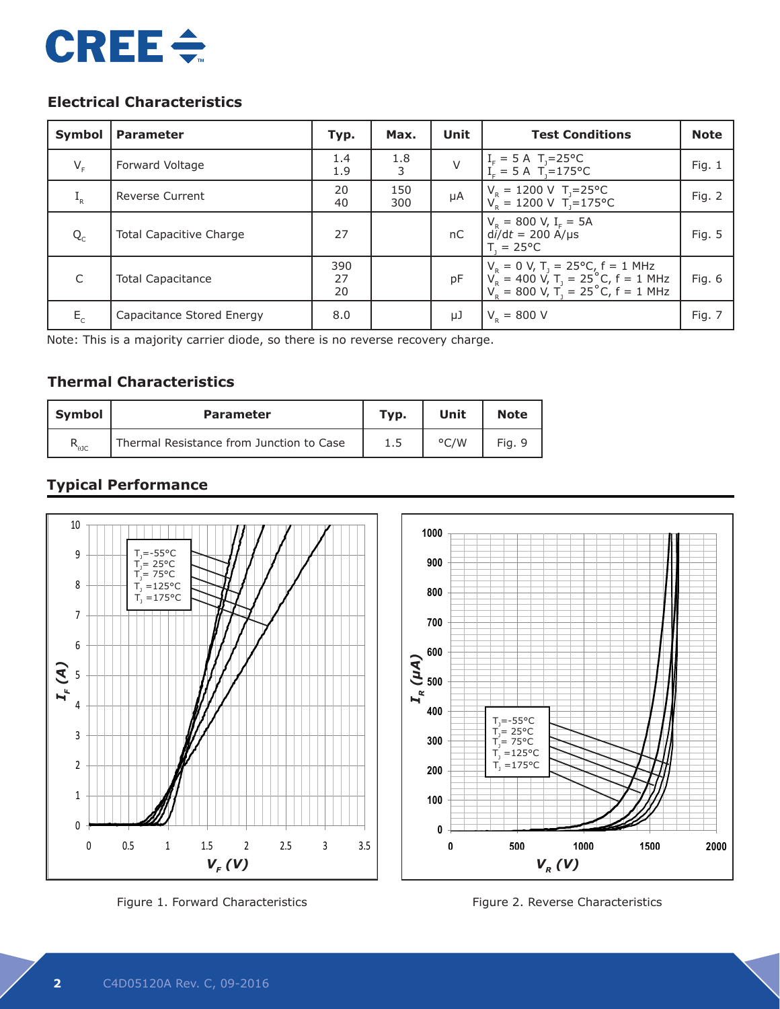

# **Electrical Characteristics**

| Symbol  | <b>Parameter</b>               | Typ.            | Max.       | Unit   | <b>Test Conditions</b>                                                                                                                                 | <b>Note</b> |
|---------|--------------------------------|-----------------|------------|--------|--------------------------------------------------------------------------------------------------------------------------------------------------------|-------------|
| $V_F$   | Forward Voltage                | 1.4<br>1.9      | 1.8<br>3   | $\vee$ | $I_F = 5 \text{ A}$ T <sub>J</sub> =25°C<br>$I_E = 5 \text{ A}$ T <sub>1</sub> =175°C                                                                  | Fig. $1$    |
| $I_R$   | <b>Reverse Current</b>         | 20<br>40        | 150<br>300 | μA     | $V_R = 1200 \text{ V}$ T <sub>J</sub> =25°C<br>$V_B = 1200 \text{ V}$ T <sub>1</sub> =175°C                                                            | Fig. 2      |
| $Q_{C}$ | <b>Total Capacitive Charge</b> | 27              |            | nC     | $V_R = 800$ V, I <sub>F</sub> = 5A<br>$di/dt = 200$ A/µs<br>$T = 25^{\circ}C$                                                                          | Fig. 5      |
| C       | <b>Total Capacitance</b>       | 390<br>27<br>20 |            | pF     | $V_R = 0 V$ , T <sub>J</sub> = 25°C, f = 1 MHz<br>$V_R = 400 V$ , T <sub>J</sub> = 25°C, f = 1 MHz<br>$V_R = 800 V$ , T <sub>J</sub> = 25°C, f = 1 MHz | Fig. 6      |
| $E_{c}$ | Capacitance Stored Energy      | 8.0             |            | μJ     | $V_{\rm p} = 800$ V                                                                                                                                    | Fig. 7      |

Note: This is a majority carrier diode, so there is no reverse recovery charge.

# **Thermal Characteristics**

| <b>Symbol</b>  | <b>Parameter</b>                         | Typ. | Unit          | <b>Note</b> |
|----------------|------------------------------------------|------|---------------|-------------|
| $R_{\theta$ JC | Thermal Resistance from Junction to Case |      | $\degree$ C/W | Fig. 9      |

# **Typical Performance**



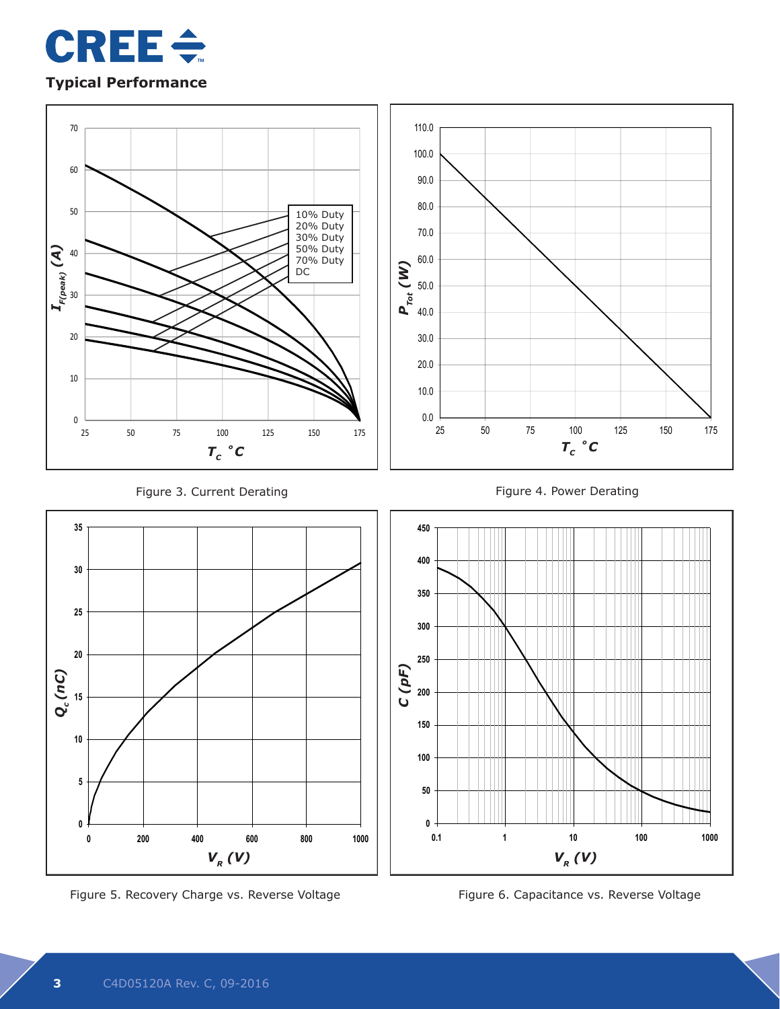



Figure 5. Recovery Charge vs. Reverse Voltage **The Contract Contract Contract Contract** Figure 6. Capacitance vs. Reverse Voltage

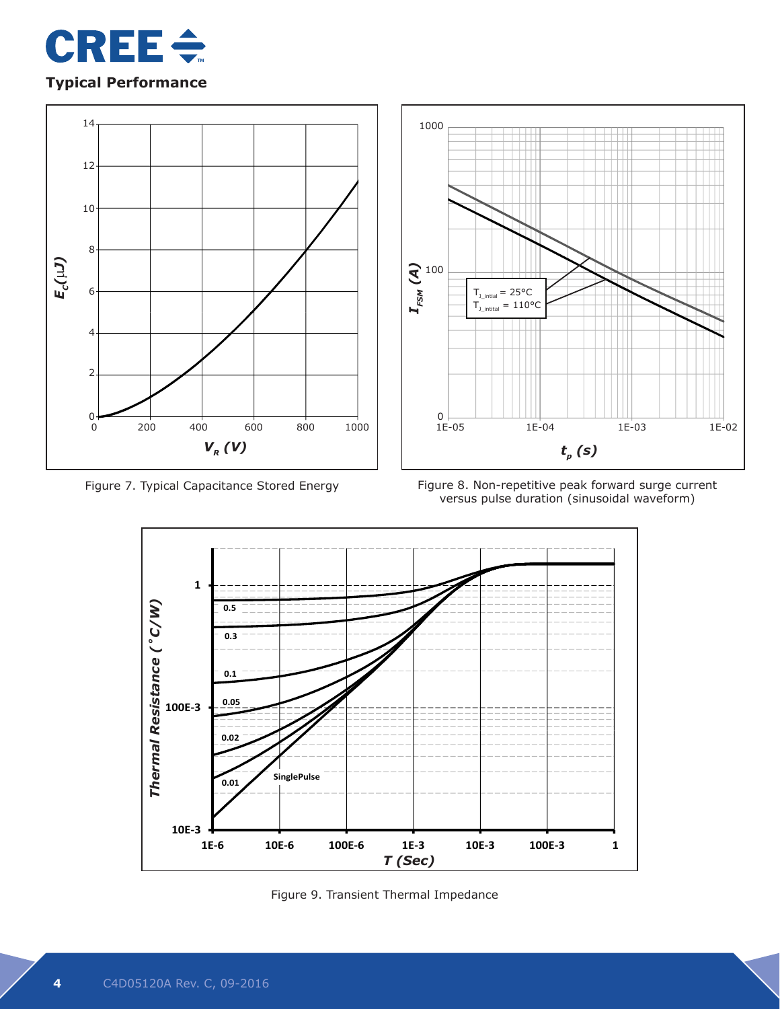

# **Typical Performance**





Figure 7. Typical Capacitance Stored Energy Figure 8. Non-repetitive peak forward surge current versus pulse duration (sinusoidal waveform)



Figure 9. Transient Thermal Impedance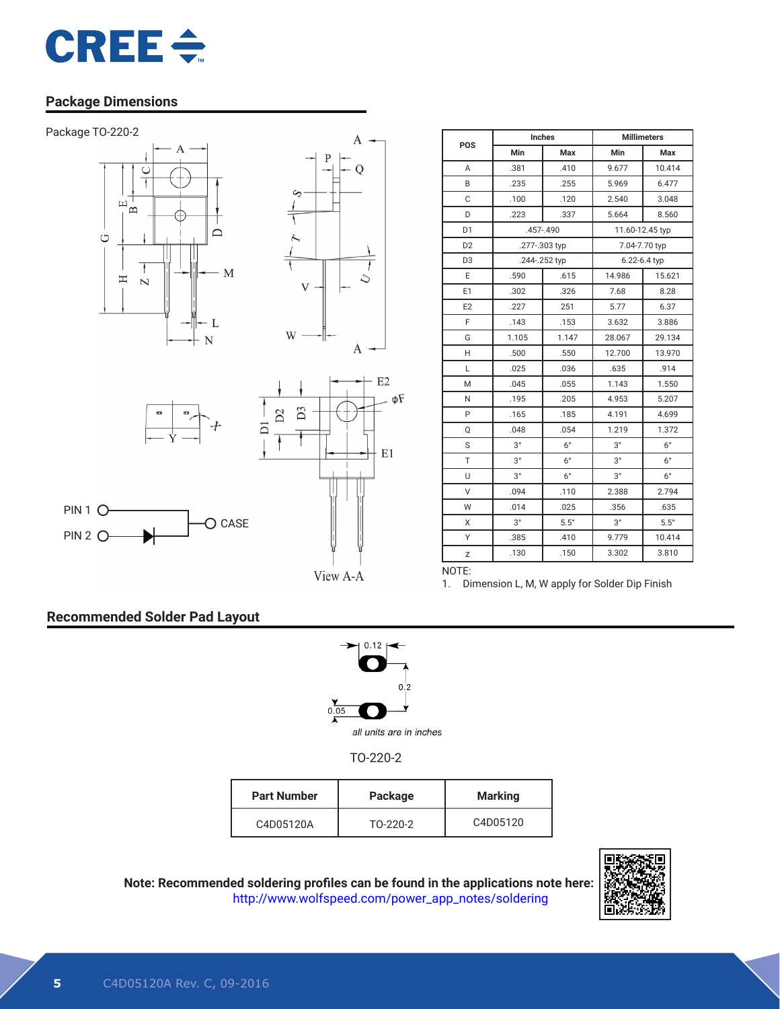

### **Package Dimensions**







O CASE



| POS            | Inches        |             | <b>Millimeters</b> |              |  |
|----------------|---------------|-------------|--------------------|--------------|--|
|                | Min           | Max         | Min                | Max          |  |
| A              | .381          | .410        | 9.677              | 10.414       |  |
| B              | .235          | .255        | 5.969              | 6.477        |  |
| C              | .100          | .120        | 2.540              | 3.048        |  |
| D              | .223          | .337        | 5.664              | 8.560        |  |
| D <sub>1</sub> | .457-.490     |             | 11.60-12.45 typ    |              |  |
| D <sub>2</sub> | .277-.303 typ |             | 7.04-7.70 typ      |              |  |
| D <sub>3</sub> | .244-.252 typ |             |                    | 6.22-6.4 typ |  |
| E              | .590          | .615        | 14.986             | 15.621       |  |
| E1             | .302          | .326        | 7.68               | 8.28         |  |
| E <sub>2</sub> | .227          | 251         | 5.77               | 6.37         |  |
| F              | .143          | .153        | 3.632              | 3.886        |  |
| G              | 1.105         | 1.147       | 28.067             | 29.134       |  |
| H              | .500          | .550        | 12.700             | 13.970       |  |
| L              | .025          | .036        | .635               | .914         |  |
| M              | .045          | .055        | 1.143              | 1.550        |  |
| N              | .195          | .205        | 4.953              | 5.207        |  |
| P              | .165          | .185        | 4.191              | 4.699        |  |
| $\circ$        | .048          | .054        | 1.219              | 1.372        |  |
| S              | $3^{\circ}$   | $6^{\circ}$ | $3^{\circ}$        | $6^{\circ}$  |  |
| T              | $3^{\circ}$   | $6^{\circ}$ | $3^{\circ}$        | $6^{\circ}$  |  |
| U              | $3^{\circ}$   | $6^{\circ}$ | $3^{\circ}$        | $6^{\circ}$  |  |
| V              | .094          | .110        | 2.388              | 2.794        |  |
| W              | .014          | .025        | .356               | .635         |  |
| X              | $3^{\circ}$   | $5.5^\circ$ | $3^{\circ}$        | $5.5^\circ$  |  |
| Υ              | .385          | .410        | 9.779              | 10.414       |  |
| Z              | .130          | .150        | 3.302              | 3.810        |  |

View A-A

1. Dimension L, M, W apply for Solder Dip Finish

#### **Recommended Solder Pad Layout**

PIN 2 O-



NOTE:

TO-220-2

| <b>Part Number</b> | Package  | <b>Marking</b> |
|--------------------|----------|----------------|
| C4D05120A          | TO-220-2 | C4D05120       |

**Note: Recommended soldering profiles can be found in the applications note here:** http://www.wolfspeed.com/power\_app\_notes/soldering